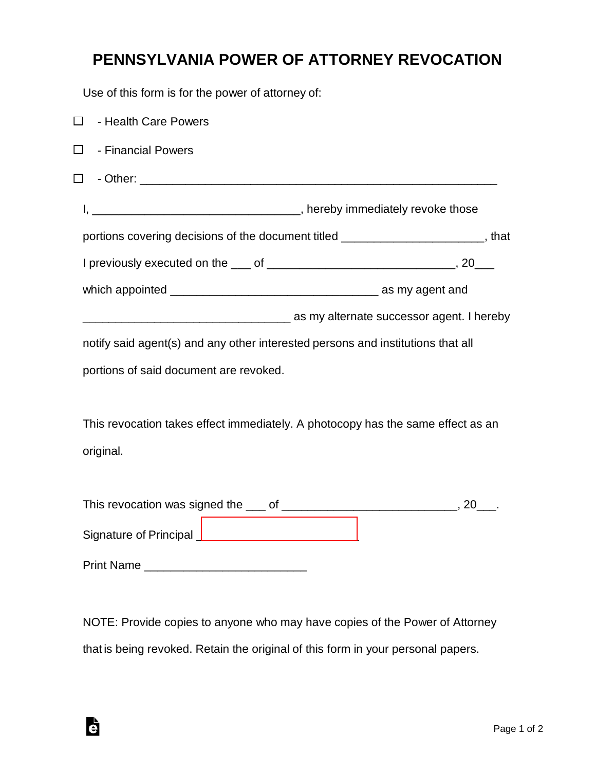## **PENNSYLVANIA POWER OF ATTORNEY REVOCATION**

Use of this form is for the power of attorney of:

| $\Box$<br>- Health Care Powers                                                    |                                                                                       |
|-----------------------------------------------------------------------------------|---------------------------------------------------------------------------------------|
| - Financial Powers<br>$\Box$                                                      |                                                                                       |
| $\Box$                                                                            |                                                                                       |
|                                                                                   |                                                                                       |
| portions covering decisions of the document titled ________________________, that |                                                                                       |
|                                                                                   |                                                                                       |
|                                                                                   |                                                                                       |
|                                                                                   | as my alternate successor agent. I hereby interface surface successor agent. I hereby |
| notify said agent(s) and any other interested persons and institutions that all   |                                                                                       |
| portions of said document are revoked.                                            |                                                                                       |
|                                                                                   |                                                                                       |
| This revocation takes effect immediately. A photocopy has the same effect as an   |                                                                                       |
| original.                                                                         |                                                                                       |
|                                                                                   |                                                                                       |
|                                                                                   |                                                                                       |
|                                                                                   |                                                                                       |
|                                                                                   |                                                                                       |
|                                                                                   |                                                                                       |

NOTE: Provide copies to anyone who may have copies of the Power of Attorney that is being revoked. Retain the original of this form in your personal papers.

è